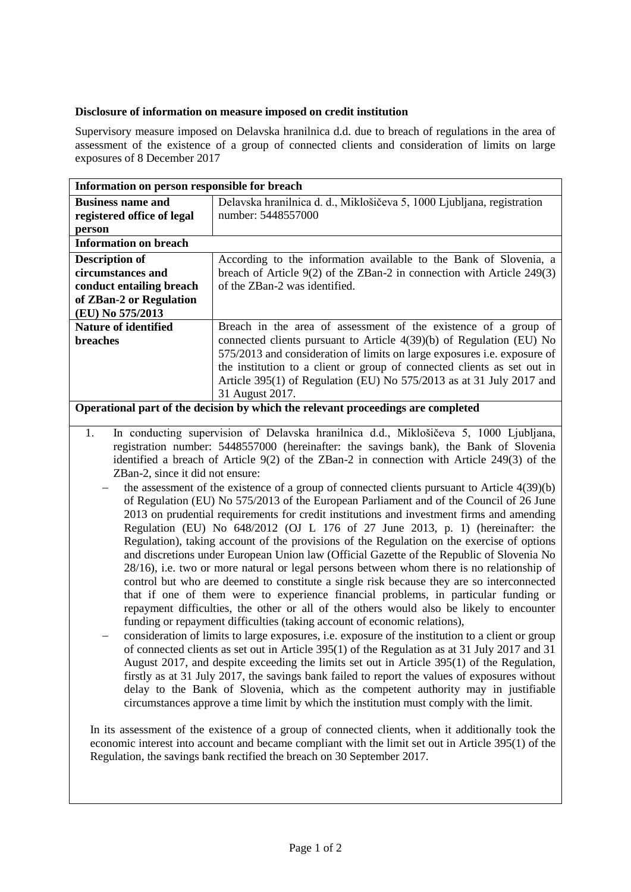## **Disclosure of information on measure imposed on credit institution**

Supervisory measure imposed on Delavska hranilnica d.d. due to breach of regulations in the area of assessment of the existence of a group of connected clients and consideration of limits on large exposures of 8 December 2017

| Information on person responsible for breach                                                      |                                                                                            |
|---------------------------------------------------------------------------------------------------|--------------------------------------------------------------------------------------------|
| <b>Business name and</b>                                                                          | Delavska hranilnica d. d., Miklošičeva 5, 1000 Ljubljana, registration                     |
| registered office of legal                                                                        | number: 5448557000                                                                         |
| person                                                                                            |                                                                                            |
| <b>Information on breach</b>                                                                      |                                                                                            |
| <b>Description of</b>                                                                             | According to the information available to the Bank of Slovenia, a                          |
| circumstances and                                                                                 | breach of Article 9(2) of the ZBan-2 in connection with Article 249(3)                     |
| conduct entailing breach                                                                          | of the ZBan-2 was identified.                                                              |
| of ZBan-2 or Regulation                                                                           |                                                                                            |
| (EU) No 575/2013                                                                                  |                                                                                            |
| <b>Nature of identified</b>                                                                       | Breach in the area of assessment of the existence of a group of                            |
| breaches                                                                                          | connected clients pursuant to Article 4(39)(b) of Regulation (EU) No                       |
|                                                                                                   | 575/2013 and consideration of limits on large exposures i.e. exposure of                   |
|                                                                                                   | the institution to a client or group of connected clients as set out in                    |
|                                                                                                   | Article 395(1) of Regulation (EU) No 575/2013 as at 31 July 2017 and                       |
|                                                                                                   | 31 August 2017.                                                                            |
| Operational part of the decision by which the relevant proceedings are completed                  |                                                                                            |
| In conducting supervision of Delavska hranilnica d.d., Miklošičeva 5, 1000 Ljubljana,<br>1.       |                                                                                            |
| registration number: 5448557000 (hereinafter: the savings bank), the Bank of Slovenia             |                                                                                            |
| identified a breach of Article 9(2) of the ZBan-2 in connection with Article 249(3) of the        |                                                                                            |
| ZBan-2, since it did not ensure:                                                                  |                                                                                            |
| the assessment of the existence of a group of connected clients pursuant to Article 4(39)(b)      |                                                                                            |
| of Regulation (EU) No 575/2013 of the European Parliament and of the Council of 26 June           |                                                                                            |
| 2013 on prudential requirements for credit institutions and investment firms and amending         |                                                                                            |
| Regulation (EU) No 648/2012 (OJ L 176 of 27 June 2013, p. 1) (hereinafter: the                    |                                                                                            |
| Regulation), taking account of the provisions of the Regulation on the exercise of options        |                                                                                            |
| and discretions under European Union law (Official Gazette of the Republic of Slovenia No         |                                                                                            |
| 28/16), i.e. two or more natural or legal persons between whom there is no relationship of        |                                                                                            |
| control but who are deemed to constitute a single risk because they are so interconnected         |                                                                                            |
| that if one of them were to experience financial problems, in particular funding or               |                                                                                            |
| repayment difficulties, the other or all of the others would also be likely to encounter          |                                                                                            |
| funding or repayment difficulties (taking account of economic relations),                         |                                                                                            |
| consideration of limits to large exposures, i.e. exposure of the institution to a client or group |                                                                                            |
| of connected clients as set out in Article 395(1) of the Regulation as at 31 July 2017 and 31     |                                                                                            |
|                                                                                                   | August 2017, and despite exceeding the limits set out in Article 395(1) of the Regulation, |
| firstly as at 31 July 2017, the savings bank failed to report the values of exposures without     |                                                                                            |

In its assessment of the existence of a group of connected clients, when it additionally took the economic interest into account and became compliant with the limit set out in Article 395(1) of the Regulation, the savings bank rectified the breach on 30 September 2017.

delay to the Bank of Slovenia, which as the competent authority may in justifiable circumstances approve a time limit by which the institution must comply with the limit.